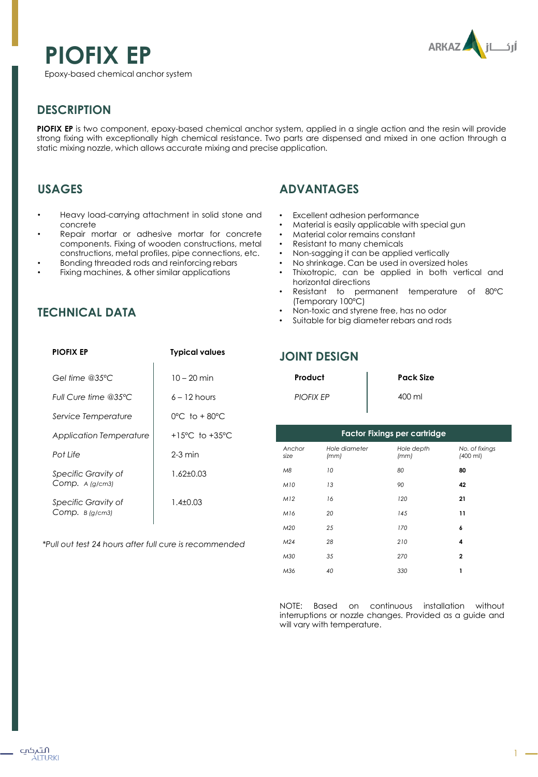# **PIOFIX EP**





#### **DESCRIPTION**

**PIOFIX EP** is two component, epoxy-based chemical anchor system, applied in a single action and the resin will provide strong fixing with exceptionally high chemical resistance. Two parts are dispensed and mixed in one action through a static mixing nozzle, which allows accurate mixing and precise application.

## **USAGES**

- Heavy load-carrying attachment in solid stone and concrete
- Repair mortar or adhesive mortar for concrete components. Fixing of wooden constructions, metal constructions, metal profiles, pipe connections, etc.
- Bonding threaded rods and reinforcing rebars
- Fixing machines, & other similar applications

## **TECHNICAL DATA**

## **ADVANTAGES**

- Excellent adhesion performance
- Material is easily applicable with special gun
- Material color remains constant
- Resistant to many chemicals
- Non-sagging it can be applied vertically
- No shrinkage. Can be used in oversized holes
- Thixotropic, can be applied in both vertical and horizontal directions
- Resistant to permanent temperature of 80ºC (Temporary 100ºC)
- Non-toxic and styrene free, has no odor
- Suitable for big diameter rebars and rods

| <b>PIOFIX EP</b>                       | <b>Typical values</b>              |
|----------------------------------------|------------------------------------|
| Gel time @35 $°C$                      | $10 - 20$ min                      |
| Full Cure time @35°C                   | $6 - 12$ hours                     |
| Service Temperature                    | $0^{\circ}$ C to + 80 $^{\circ}$ C |
| <b>Application Temperature</b>         | +15°C to +35°C                     |
| Pot Life                               | $2-3$ min                          |
| Specific Gravity of<br>Comp. A (g/cm3) | $1.62 + 0.03$                      |
| Specific Gravity of<br>Comp. B(g/cm3)  | $1.4 \pm 0.03$                     |
|                                        |                                    |

*\*Pull out test 24 hours after full cure is recommended*

#### **JOINT DESIGN**

| Product          | <b>Pack Size</b> |
|------------------|------------------|
| <b>PIOFIX EP</b> | 400 ml           |

| <b>Factor Fixings per cartridge</b> |                       |                    |                              |  |  |  |  |  |  |
|-------------------------------------|-----------------------|--------------------|------------------------------|--|--|--|--|--|--|
| Anchor<br>size                      | Hole diameter<br>(mm) | Hole depth<br>(mm) | No. of fixings<br>$(400$ ml) |  |  |  |  |  |  |
| M8                                  | 10                    | 80                 | 80                           |  |  |  |  |  |  |
| M10                                 | 13                    | 90                 | 42                           |  |  |  |  |  |  |
| M12                                 | 16                    | 120                | 21                           |  |  |  |  |  |  |
| M16                                 | 20                    | 145                | 11                           |  |  |  |  |  |  |
| M20                                 | 25                    | 170                | 6                            |  |  |  |  |  |  |
| M <sub>24</sub>                     | 28                    | 210                | 4                            |  |  |  |  |  |  |
| M30                                 | 35                    | 270                | $\mathbf{2}$                 |  |  |  |  |  |  |
| M36                                 | 40                    | 330                | 1                            |  |  |  |  |  |  |

NOTE: Based on continuous installation without interruptions or nozzle changes. Provided as a guide and will vary with temperature.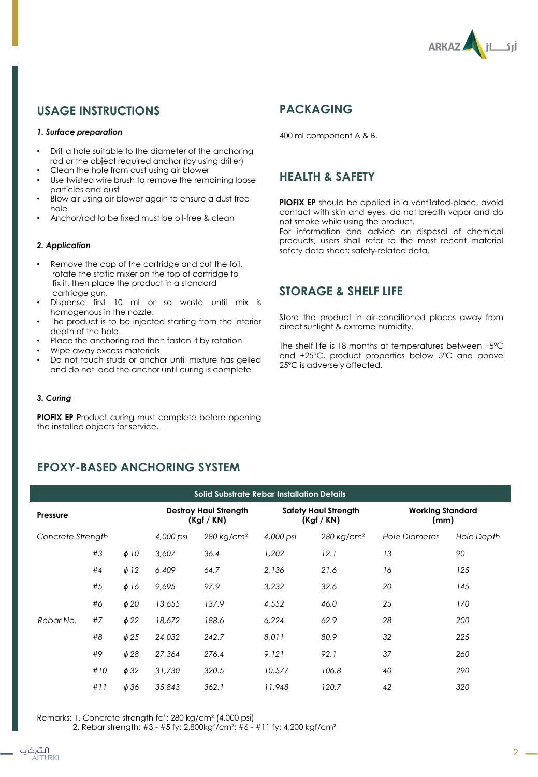

## **USAGE INSTRUCTIONS**

#### *1. Surface preparation*

- Drill a hole suitable to the diameter of the anchoring rod or the object required anchor (by using driller)
- Clean the hole from dust using air blower
- Use twisted wire brush to remove the remaining loose particles and dust
- Blow air using air blower again to ensure a dust free hole
- Anchor/rod to be fixed must be oil-free & clean

#### *2. Application*

- Remove the cap of the cartridge and cut the foil, rotate the static mixer on the top of cartridge to fix it, then place the product in a standard cartridge gun.
- Dispense first 10 ml or so waste until mix is homogenous in the nozzle.
- The product is to be injected starting from the interior depth of the hole.
- Place the anchoring rod then fasten it by rotation
- Wipe away excess materials
- Do not touch studs or anchor until mixture has gelled and do not load the anchor until curing is complete

#### *3. Curing*

**PIOFIX EP** Product curing must complete before opening the installed objects for service.

#### **EPOXY-BASED ANCHORING SYSTEM**

| Solid Substrate Rebar Installation Details |     |                                          |                          |                                  |                        |                                 |            |     |  |
|--------------------------------------------|-----|------------------------------------------|--------------------------|----------------------------------|------------------------|---------------------------------|------------|-----|--|
| Pressure                                   |     | <b>Destroy Haul Strength</b><br>(Kgf/KN) |                          | Safety Haul Strength<br>(Kgf/KN) |                        | <b>Working Standard</b><br>(mm) |            |     |  |
| Concrete Strength                          |     | 4,000 psi                                | $280$ kg/cm <sup>2</sup> | 4,000 psi                        | 280 kg/cm <sup>2</sup> | <b>Hole Diameter</b>            | Hole Depth |     |  |
|                                            | #3  | $\phi$ 10                                | 3,607                    | 36.4                             | 1,202                  | 12.1                            | 13         | 90  |  |
|                                            | #4  | $\phi$ 12                                | 6,409                    | 64.7                             | 2,136                  | 21.6                            | 16         | 125 |  |
|                                            | #5  | $\phi$ 16                                | 9,695                    | 97.9                             | 3,232                  | 32.6                            | 20         | 145 |  |
|                                            | #6  | $\phi$ 20                                | 13,655                   | 137.9                            | 4,552                  | 46.0                            | 25         | 170 |  |
| Rebar No.                                  | #7  | $\phi$ 22                                | 18,672                   | 188.6                            | 6,224                  | 62.9                            | 28         | 200 |  |
|                                            | #8  | $\phi$ 25                                | 24,032                   | 242.7                            | 8,011                  | 80.9                            | 32         | 225 |  |
|                                            | #9  | $\phi$ 28                                | 27,364                   | 276.4                            | 9.121                  | 92.1                            | 37         | 260 |  |
|                                            | #10 | $\phi$ 32                                | 31,730                   | 320.5                            | 10,577                 | 106.8                           | 40         | 290 |  |
|                                            | #11 | $\phi$ 36                                | 35,843                   | 362.1                            | 11,948                 | 120.7                           | 42         | 320 |  |

Remarks: 1. Concrete strength fc': 280 kg/cm² (4,000 psi)

2. Rebar strength: #3 - #5 fy: 2,800kgf/cm²; #6 - #11 fy: 4,200 kgf/cm²

#### **PACKAGING**

400 ml component A & B.

#### **HEALTH & SAFETY**

**PIOFIX EP** should be applied in a ventilated-place, avoid contact with skin and eyes, do not breath vapor and do not smoke while using the product.

For information and advice on disposal of chemical products, users shall refer to the most recent material safety data sheet; safety-related data.

#### **STORAGE & SHELF LIFE**

Store the product in air-conditioned places away from direct sunlight & extreme humidity.

The shelf life is 18 months at temperatures between +5ºC and +25ºC, product properties below 5ºC and above 25ºC is adversely affected.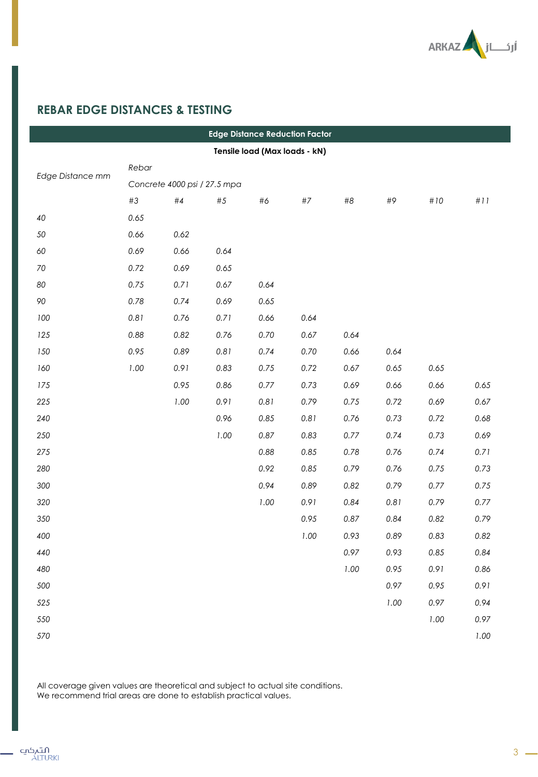

# **REBAR EDGE DISTANCES & TESTING**

ı

| <b>Edge Distance Reduction Factor</b> |       |                              |          |      |       |      |      |        |      |
|---------------------------------------|-------|------------------------------|----------|------|-------|------|------|--------|------|
| Tensile load (Max loads - kN)         |       |                              |          |      |       |      |      |        |      |
|                                       | Rebar |                              |          |      |       |      |      |        |      |
| Edge Distance mm                      |       | Concrete 4000 psi / 27.5 mpa |          |      |       |      |      |        |      |
|                                       | #3    | #4                           | $\#5$    | #6   | $\#7$ | #8   | #9   | $\#10$ | #11  |
| 40                                    | 0.65  |                              |          |      |       |      |      |        |      |
| 50                                    | 0.66  | 0.62                         |          |      |       |      |      |        |      |
| 60                                    | 0.69  | 0.66                         | 0.64     |      |       |      |      |        |      |
| 70                                    | 0.72  | 0.69                         | 0.65     |      |       |      |      |        |      |
| 80                                    | 0.75  | 0.71                         | 0.67     | 0.64 |       |      |      |        |      |
| 90                                    | 0.78  | 0.74                         | 0.69     | 0.65 |       |      |      |        |      |
| 100                                   | 0.81  | 0.76                         | 0.71     | 0.66 | 0.64  |      |      |        |      |
| 125                                   | 0.88  | 0.82                         | 0.76     | 0.70 | 0.67  | 0.64 |      |        |      |
| 150                                   | 0.95  | 0.89                         | 0.81     | 0.74 | 0.70  | 0.66 | 0.64 |        |      |
| 160                                   | 1.00  | 0.91                         | 0.83     | 0.75 | 0.72  | 0.67 | 0.65 | 0.65   |      |
| 175                                   |       | 0.95                         | 0.86     | 0.77 | 0.73  | 0.69 | 0.66 | 0.66   | 0.65 |
| 225                                   |       | 1.00                         | 0.91     | 0.81 | 0.79  | 0.75 | 0.72 | 0.69   | 0.67 |
| 240                                   |       |                              | 0.96     | 0.85 | 0.81  | 0.76 | 0.73 | 0.72   | 0.68 |
| 250                                   |       |                              | $1.00\,$ | 0.87 | 0.83  | 0.77 | 0.74 | 0.73   | 0.69 |
| 275                                   |       |                              |          | 0.88 | 0.85  | 0.78 | 0.76 | 0.74   | 0.71 |
| 280                                   |       |                              |          | 0.92 | 0.85  | 0.79 | 0.76 | 0.75   | 0.73 |
| 300                                   |       |                              |          | 0.94 | 0.89  | 0.82 | 0.79 | 0.77   | 0.75 |
| 320                                   |       |                              |          | 1.00 | 0.91  | 0.84 | 0.81 | 0.79   | 0.77 |
| 350                                   |       |                              |          |      | 0.95  | 0.87 | 0.84 | 0.82   | 0.79 |
| 400                                   |       |                              |          |      | 1.00  | 0.93 | 0.89 | 0.83   | 0.82 |
| 440                                   |       |                              |          |      |       | 0.97 | 0.93 | 0.85   | 0.84 |
| 480                                   |       |                              |          |      |       | 1.00 | 0.95 | 0.91   | 0.86 |
| 500                                   |       |                              |          |      |       |      | 0.97 | 0.95   | 0.91 |
| 525                                   |       |                              |          |      |       |      | 1.00 | 0.97   | 0.94 |
| 550                                   |       |                              |          |      |       |      |      | 1.00   | 0.97 |
| 570                                   |       |                              |          |      |       |      |      |        | 1.00 |

All coverage given values are theoretical and subject to actual site conditions. We recommend trial areas are done to establish practical values.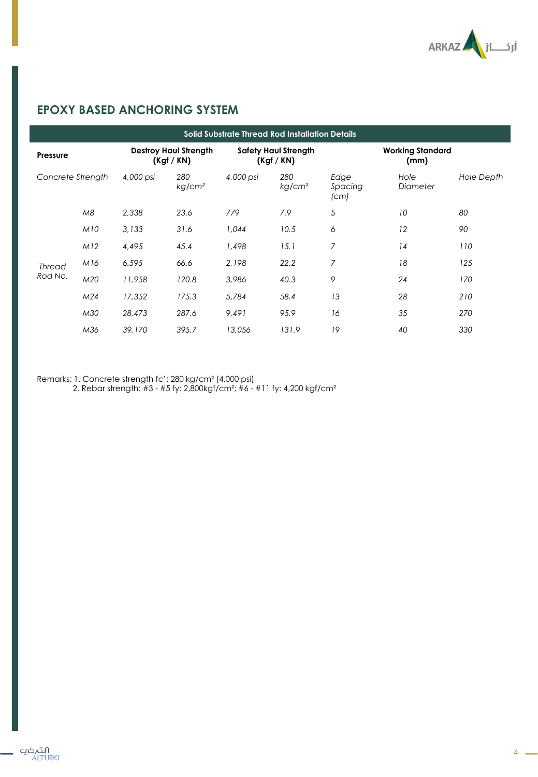

## **EPOXY BASED ANCHORING SYSTEM**

|                   | <b>Solid Substrate Thread Rod Installation Details</b> |                                          |                           |                                         |                           |                                 |                  |                   |  |  |  |
|-------------------|--------------------------------------------------------|------------------------------------------|---------------------------|-----------------------------------------|---------------------------|---------------------------------|------------------|-------------------|--|--|--|
| Pressure          |                                                        | <b>Destroy Haul Strength</b><br>(Kgf/KN) |                           | <b>Safety Haul Strength</b><br>(Kgf/KN) |                           | <b>Working Standard</b><br>(mm) |                  |                   |  |  |  |
| Concrete Strength |                                                        | 4,000 psi                                | 280<br>kg/cm <sup>2</sup> | 4,000 psi                               | 280<br>kg/cm <sup>2</sup> | Edge<br>Spacing<br>(cm)         | Hole<br>Diameter | <b>Hole Depth</b> |  |  |  |
|                   | M8                                                     | 2.338                                    | 23.6                      | 779                                     | 7.9                       | 5                               | 10               | 80                |  |  |  |
|                   | M10                                                    | 3,133                                    | 31.6                      | 1,044                                   | 10.5                      | 6                               | 12               | 90                |  |  |  |
|                   | M12                                                    | 4,495                                    | 45.4                      | 1,498                                   | 15.1                      | $\overline{7}$                  | 14               | 110               |  |  |  |
| <b>Thread</b>     | M16                                                    | 6.595                                    | 66.6                      | 2,198                                   | 22.2                      | $\overline{7}$                  | 18               | 125               |  |  |  |
| Rod No.           | M20                                                    | 11,958                                   | 120.8                     | 3,986                                   | 40.3                      | 9                               | 24               | 170               |  |  |  |
|                   | M <sub>24</sub>                                        | 17,352                                   | 175.3                     | 5,784                                   | 58.4                      | 13                              | 28               | 210               |  |  |  |
|                   | M30                                                    | 28,473                                   | 287.6                     | 9.491                                   | 95.9                      | 16                              | 35               | 270               |  |  |  |
|                   | M36                                                    | 39,170                                   | 395.7                     | 13,056                                  | 131.9                     | 19                              | 40               | 330               |  |  |  |

Remarks: 1. Concrete strength fc': 280 kg/cm² (4,000 psi)

2. Rebar strength: #3 - #5 fy: 2,800kgf/cm²; #6 - #11 fy: 4,200 kgf/cm²